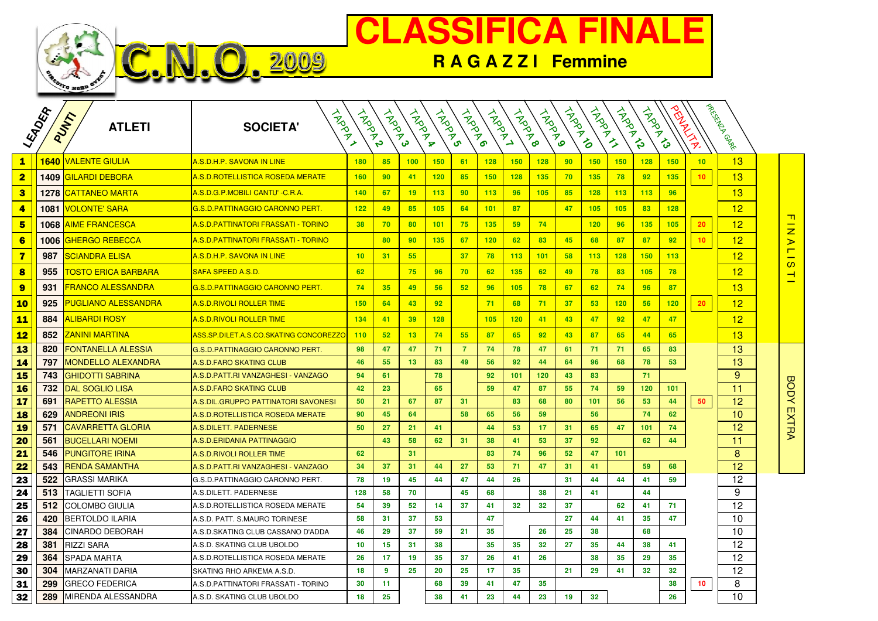



|                                     | LEADERA | PUMT<br><b>ATLETI</b>             | HADDAY<br><b>SOCIETA'</b>                     | <b>HAPPA</b> | <b>HARRY</b> | <b>ANDRAN</b> | <b>HARDA</b> | <b>HARDRO</b>  | <b>HARRY</b> | <b>HARDRO</b> | <b>HARDWAY</b> | TRAPID | A Room          | <b>ARDANIS</b> | <b>HARANG</b> |     | <b>RAMANIA</b>  | Parkisting Cancer |                                               |
|-------------------------------------|---------|-----------------------------------|-----------------------------------------------|--------------|--------------|---------------|--------------|----------------|--------------|---------------|----------------|--------|-----------------|----------------|---------------|-----|-----------------|-------------------|-----------------------------------------------|
| $\mathbf{1}$                        |         | 1640 VALENTE GIULIA               | A.S.D.H.P. SAVONA IN LINE                     | 180          | 85           | 100           | 150          | 61             | 128          | 150           | 128            | 90     | 150             | 150            | 128           | 150 | 10              | 13                |                                               |
| $\overline{\mathbf{2}}$             |         | <b>1409 GILARDI DEBORA</b>        | A.S.D.ROTELLISTICA ROSEDA MERATE              | 160          | 90           | 41            | 120          | 85             | 150          | 128           | 135            | 70     | 135             | 78             | 92            | 135 | 10              | 13                |                                               |
| $\overline{\mathbf{3}}$             | 1278    | <b>CATTANEO MARTA</b>             | <u>A.S.D.G.P.MOBILI CANTU' -C.R.A.</u>        | 140          | 67           | 19            | 113          | 90             | 113          | 96            | 105            | 85     | 128             | 113            | 113           | 96  |                 | 13                |                                               |
| $\overline{\mathbf{4}}$             | 1081    | VOLONTE' SARA                     | <u>G.S.D.PATTINAGGIO CARONNO PERT.</u>        | 122          | 49           | 85            | 105          | 64             | 101          | 87            |                | 47     | 105             | 105            | 83            | 128 |                 | 12                |                                               |
| $5\phantom{1}$                      |         | <b>1068 AIME FRANCESCA</b>        | <u> A.S.D.PATTINATORI FRASSATI - TORINO</u>   | 38           | 70           | 80            | 101          | 75             | 135          | 59            | 74             |        | 120             | 96             | 135           | 105 | 20              | 12                | <u> п</u>                                     |
| $6\phantom{a}$                      |         | 1006 <mark>IGHERGO REBECCA</mark> | <u> A.S.D.PATTINATORI FRASSATI - TORINO</u>   |              | 80           | 90            | 135          | 67             | 120          | 62            | 83             | 45     | 68              | 87             | 87            | 92  | 10              | 12                | $\frac{1}{2}$                                 |
| $\overline{\mathbf{7}}$             | 987     | SCIANDRA ELISA                    | A.S.D.H.P. SAVONA IN LINE                     | 10           | 31           | 55            |              | 37             | 78           | 113           | 101            | 58     | 113             | 128            | 150           | 113 |                 | 12                | $\blacksquare$<br>$\overline{\phantom{0}}$    |
| 8                                   | 955     | <u>TOSTO ERICA BARBARA</u>        | SAFA SPEED A.S.D.                             | 62           |              | 75            | 96           | 70             | 62           | 135           | 62             | 49     | 78              | 83             | 105           | 78  |                 | 12                | $\mathbf{\Omega}$<br>$\overline{\phantom{0}}$ |
| $\overline{\mathbf{9}}$             | 931     | <u>FRANCO ALESSANDRA</u>          | G.S.D.PATTINAGGIO CARONNO PERT.               | 74           | 35           | 49            | 56           | 52             | 96           | 105           | 78             | 67     | 62              | 74             | 96            | 87  |                 | 13                |                                               |
| <b>10</b>                           | 925     | <b>PUGLIANO ALESSANDRA</b>        | <b>A.S.D.RIVOLI ROLLER TIME</b>               | 150          | 64           | 43            | 92           |                | 71           | 68            | 71             | 37     | 53              | 120            | 56            | 120 | 20 <sub>2</sub> | 12                |                                               |
| <b>11</b>                           | 884     | <b>ALIBARDI ROSY</b>              | <b>A.S.D.RIVOLI ROLLER TIME</b>               | 134          | 41           | 39            | 128          |                | 105          | 120           | 41             | 43     | 47              | 92             | 47            | 47  |                 | 12                |                                               |
| <b>12</b>                           | 852     | <u>ZANINI MARTINA</u>             | <u>ASS.SP.DILET.A.S.CO.SKATING CONCOREZZ(</u> | 110          | 52           | 13            | 74           | 55             | 87           | 65            | 92             | 43     | 87              | 65             | 44            | 65  |                 | 13                |                                               |
| 13                                  | 820     | FONTANELLA ALESSIA                | G.S.D.PATTINAGGIO CARONNO PERT.               | 98           | 47           | 47            | 71           | $\overline{7}$ | 74           | 78            | 47             | 61     | 71              | 71             | 65            | 83  |                 | 13                |                                               |
| 14                                  | 797     | <b>MONDELLO ALEXANDRA</b>         | A.S.D.FARO SKATING CLUB                       | 46           | 55           | 13            | 83           | 49             | 56           | 92            | 44             | 64     | 96              | 68             | 78            | 53  |                 | 13                |                                               |
| $\overline{\overline{\mathbf{15}}}$ | 743     | <b>GHIDOTTI SABRINA</b>           | A.S.D.PATT.RI VANZAGHESI - VANZAGO            | 94           | 61           |               | 78           |                | 92           | 101           | 120            | 43     | 83              |                | 71            |     |                 | 9                 |                                               |
| <b>16</b>                           | 732     | <b>DAL SOGLIO LISA</b>            | A.S.D.FARO SKATING CLUB                       | 42           | 23           |               | 65           |                | 59           | 47            | 87             | 55     | 74              | 59             | 120           | 101 |                 | 11                | <b>BODY EXTRA</b>                             |
| $17$                                | 691     | <b>RAPETTO ALESSIA</b>            | A.S.DIL.GRUPPO PATTINATORI SAVONESI           | 50           | 21           | 67            | 87           | 31             |              | 83            | 68             | 80     | 101             | 56             | 53            | 44  | 50              | 12                |                                               |
| <b>18</b>                           | 629     | <b>ANDREONI IRIS</b>              | A.S.D. ROTELLISTICA ROSEDA MERATE             | 90           | 45           | 64            |              | 58             | 65           | 56            | 59             |        | 56              |                | 74            | 62  |                 | 10                |                                               |
| <b>19</b>                           | 571     | <b>CAVARRETTA GLORIA</b>          | <b>A.S.DILETT. PADERNESE</b>                  | 50           | 27           | 21            | 41           |                | 44           | 53            | 17             | 31     | 65              | 47             | 101           | 74  |                 | 12                |                                               |
| 20                                  | 561     | <b>BUCELLARI NOEMI</b>            | A.S.D.ERIDANIA PATTINAGGIO                    |              | 43           | 58            | 62           | 31             | 38           | 41            | 53             | 37     | 92              |                | 62            | 44  |                 | 11                |                                               |
| 21                                  | 546     | <b>PUNGITORE IRINA</b>            | A.S.D. RIVOLI ROLLER TIME                     | 62           |              | 31            |              |                | 83           | 74            | 96             | 52     | 47              | 101            |               |     |                 | 8                 |                                               |
| 22                                  | 543     | <b>RENDA SAMANTHA</b>             | A.S.D.PATT.RI VANZAGHESI - VANZAGO            | 34           | 37           | 31            | 44           | 27             | 53           | 71            | 47             | 31     | 41              |                | 59            | 68  |                 | 12                |                                               |
| 23                                  | 522     | <b>GRASSI MARIKA</b>              | G.S.D.PATTINAGGIO CARONNO PERT.               | 78           | 19           | 45            | 44           | 47             | 44           | 26            |                | 31     | 44              | 44             | 41            | 59  |                 | 12                |                                               |
| 24                                  | 513     | TAGLIETTI SOFIA                   | A.S.DILETT. PADERNESE                         | 128          | 58           | 70            |              | 45             | 68           |               | 38             | 21     | 41              |                | 44            |     |                 | 9                 |                                               |
| 25                                  | 512     | COLOMBO GIULIA                    | A.S.D.ROTELLISTICA ROSEDA MERATE              | 54           | 39           | 52            | 14           | 37             | 41           | 32            | 32             | 37     |                 | 62             | 41            | 71  |                 | 12                |                                               |
| 26                                  | 420     | <b>BERTOLDO ILARIA</b>            | A.S.D. PATT. S.MAURO TORINESE                 | 58           | 31           | 37            | 53           |                | 47           |               |                | 27     | 44              | 41             | 35            | 47  |                 | 10                |                                               |
| 27                                  | 384     | <b>CINARDO DEBORAH</b>            | A.S.D.SKATING CLUB CASSANO D'ADDA             | 46           | 29           | 37            | 59           | 21             | 35           |               | 26             | 25     | 38              |                | 68            |     |                 | 10                |                                               |
| 28                                  | 381     | <b>RIZZI SARA</b>                 | A.S.D. SKATING CLUB UBOLDO                    | 10           | 15           | 31            | 38           |                | 35           | 35            | 32             | 27     | 35              | 44             | 38            | 41  |                 | 12                |                                               |
| 29                                  | 364     | <b>SPADA MARTA</b>                | A.S.D. ROTELLISTICA ROSEDA MERATE             | 26           | 17           | 19            | 35           | 37             | 26           | 41            | 26             |        | 38              | 35             | 29            | 35  |                 | 12                |                                               |
| 30                                  | 304     | <b>MARZANATI DARIA</b>            | SKATING RHO ARKEMA A.S.D.                     | 18           | 9            | 25            | 20           | 25             | 17           | 35            |                | 21     | 29              | 41             | 32            | 32  |                 | 12                |                                               |
| 31                                  | 299     | <b>GRECO FEDERICA</b>             | A.S.D.PATTINATORI FRASSATI - TORINO           | 30           | 11           |               | 68           | 39             | 41           | 47            | 35             |        |                 |                |               | 38  | 10              | 8                 |                                               |
| 32                                  | 289     | MIRENDA ALESSANDRA                | A.S.D. SKATING CLUB UBOLDO                    | 18           | 25           |               | 38           | 41             | 23           | 44            | 23             | 19     | 32 <sub>2</sub> |                |               | 26  |                 | 10                |                                               |